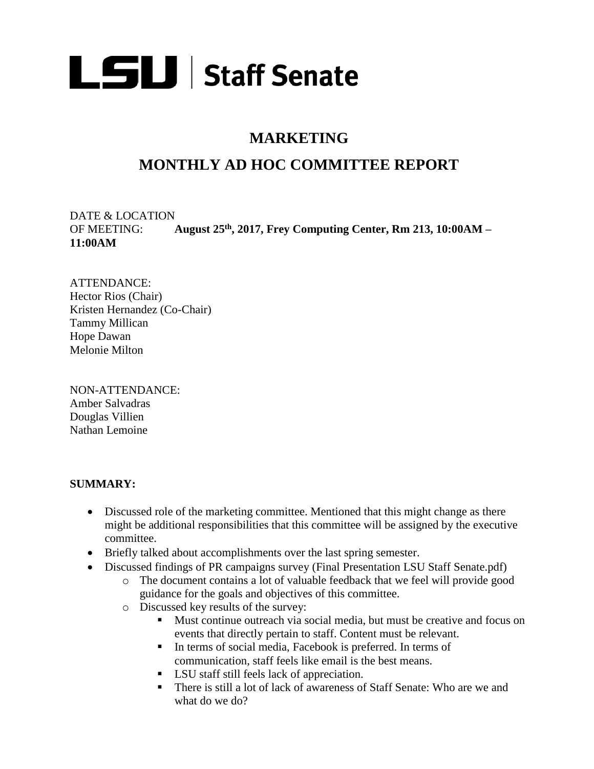

## **MARKETING**

# **MONTHLY AD HOC COMMITTEE REPORT**

DATE & LOCATION OF MEETING: **August 25th, 2017, Frey Computing Center, Rm 213, 10:00AM – 11:00AM**

ATTENDANCE: Hector Rios (Chair) Kristen Hernandez (Co-Chair) Tammy Millican Hope Dawan Melonie Milton

NON-ATTENDANCE: Amber Salvadras Douglas Villien Nathan Lemoine

#### **SUMMARY:**

- Discussed role of the marketing committee. Mentioned that this might change as there might be additional responsibilities that this committee will be assigned by the executive committee.
- Briefly talked about accomplishments over the last spring semester.
- Discussed findings of PR campaigns survey (Final Presentation LSU Staff Senate.pdf)
	- o The document contains a lot of valuable feedback that we feel will provide good guidance for the goals and objectives of this committee.
	- o Discussed key results of the survey:
		- Must continue outreach via social media, but must be creative and focus on events that directly pertain to staff. Content must be relevant.
		- In terms of social media, Facebook is preferred. In terms of communication, staff feels like email is the best means.
		- LSU staff still feels lack of appreciation.
		- There is still a lot of lack of awareness of Staff Senate: Who are we and what do we do?